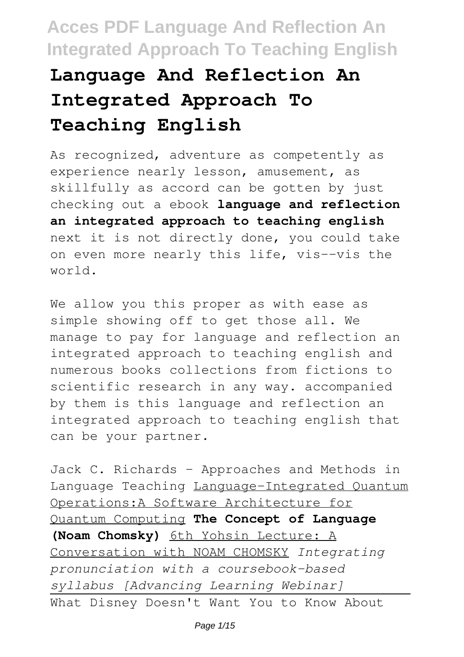# **Language And Reflection An Integrated Approach To Teaching English**

As recognized, adventure as competently as experience nearly lesson, amusement, as skillfully as accord can be gotten by just checking out a ebook **language and reflection an integrated approach to teaching english** next it is not directly done, you could take on even more nearly this life, vis--vis the world.

We allow you this proper as with ease as simple showing off to get those all. We manage to pay for language and reflection an integrated approach to teaching english and numerous books collections from fictions to scientific research in any way. accompanied by them is this language and reflection an integrated approach to teaching english that can be your partner.

Jack C. Richards - Approaches and Methods in Language Teaching Language-Integrated Quantum Operations:A Software Architecture for Quantum Computing **The Concept of Language (Noam Chomsky)** 6th Yohsin Lecture: A Conversation with NOAM CHOMSKY *Integrating pronunciation with a coursebook-based syllabus [Advancing Learning Webinar]* What Disney Doesn't Want You to Know About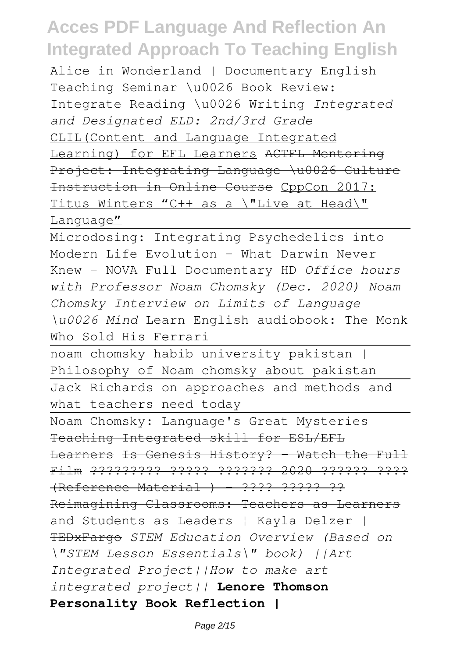Alice in Wonderland | Documentary English Teaching Seminar \u0026 Book Review: Integrate Reading \u0026 Writing *Integrated and Designated ELD: 2nd/3rd Grade* CLIL(Content and Language Integrated Learning) for EFL Learners ACTFL Mentoring Project: Integrating Language \u0026 Culture Instruction in Online Course CppCon 2017: Titus Winters "C++ as a \"Live at Head\" Language"

Microdosing: Integrating Psychedelics into Modern Life Evolution - What Darwin Never Knew - NOVA Full Documentary HD *Office hours with Professor Noam Chomsky (Dec. 2020) Noam Chomsky Interview on Limits of Language \u0026 Mind* Learn English audiobook: The Monk Who Sold His Ferrari

noam chomsky habib university pakistan | Philosophy of Noam chomsky about pakistan Jack Richards on approaches and methods and what teachers need today

Noam Chomsky: Language's Great Mysteries Teaching Integrated skill for ESL/EFL Learners Is Genesis History? - Watch the Full Film ????????? ????? ??????? 2020 ?????? ????  $R$ eference Material ) - ???? ????? ?? Reimagining Classrooms: Teachers as Learners and Students as Leaders | Kayla Delzer + TEDxFargo *STEM Education Overview (Based on \"STEM Lesson Essentials\" book) ||Art Integrated Project||How to make art integrated project||* **Lenore Thomson Personality Book Reflection |**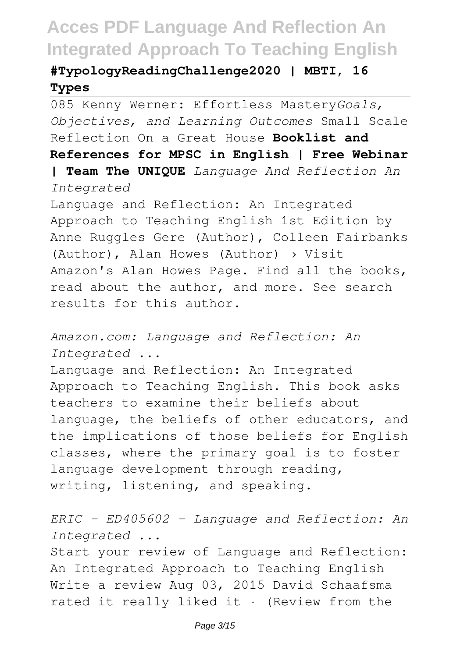### **#TypologyReadingChallenge2020 | MBTI, 16 Types**

085 Kenny Werner: Effortless Mastery*Goals, Objectives, and Learning Outcomes* Small Scale Reflection On a Great House **Booklist and References for MPSC in English | Free Webinar | Team The UNIQUE** *Language And Reflection An Integrated*

Language and Reflection: An Integrated Approach to Teaching English 1st Edition by Anne Ruggles Gere (Author), Colleen Fairbanks (Author), Alan Howes (Author) › Visit Amazon's Alan Howes Page. Find all the books, read about the author, and more. See search results for this author.

*Amazon.com: Language and Reflection: An Integrated ...*

Language and Reflection: An Integrated Approach to Teaching English. This book asks teachers to examine their beliefs about language, the beliefs of other educators, and the implications of those beliefs for English classes, where the primary goal is to foster language development through reading, writing, listening, and speaking.

*ERIC - ED405602 - Language and Reflection: An Integrated ...*

Start your review of Language and Reflection: An Integrated Approach to Teaching English Write a review Aug 03, 2015 David Schaafsma rated it really liked it · (Review from the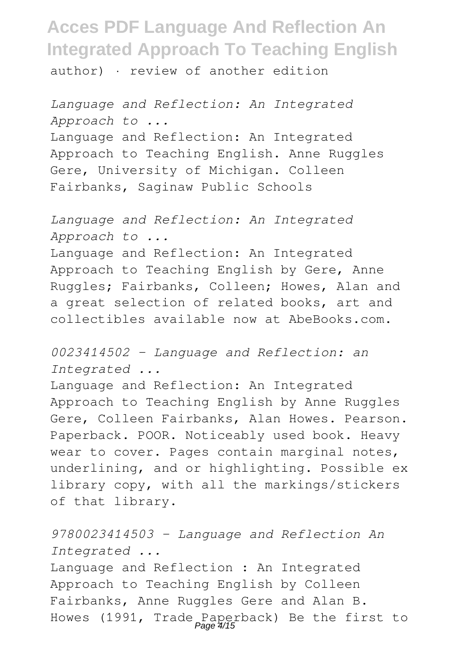author) · review of another edition

*Language and Reflection: An Integrated Approach to ...* Language and Reflection: An Integrated Approach to Teaching English. Anne Ruggles Gere, University of Michigan. Colleen Fairbanks, Saginaw Public Schools

*Language and Reflection: An Integrated Approach to ...* Language and Reflection: An Integrated Approach to Teaching English by Gere, Anne Ruggles; Fairbanks, Colleen; Howes, Alan and a great selection of related books, art and collectibles available now at AbeBooks.com.

*0023414502 - Language and Reflection: an Integrated ...*

Language and Reflection: An Integrated Approach to Teaching English by Anne Ruggles Gere, Colleen Fairbanks, Alan Howes. Pearson. Paperback. POOR. Noticeably used book. Heavy wear to cover. Pages contain marginal notes, underlining, and or highlighting. Possible ex library copy, with all the markings/stickers of that library.

*9780023414503 - Language and Reflection An Integrated ...*

Language and Reflection : An Integrated Approach to Teaching English by Colleen Fairbanks, Anne Ruggles Gere and Alan B. Howes (1991, Trade Paperback) Be the first to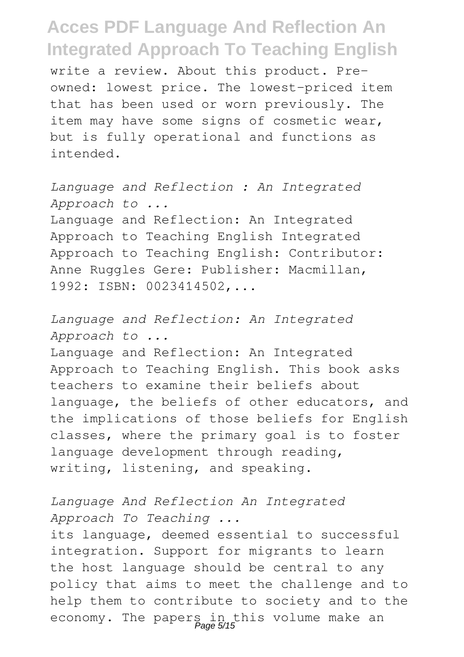write a review. About this product. Preowned: lowest price. The lowest-priced item that has been used or worn previously. The item may have some signs of cosmetic wear, but is fully operational and functions as intended.

*Language and Reflection : An Integrated Approach to ...* Language and Reflection: An Integrated Approach to Teaching English Integrated Approach to Teaching English: Contributor: Anne Ruggles Gere: Publisher: Macmillan, 1992: ISBN: 0023414502,...

*Language and Reflection: An Integrated Approach to ...*

Language and Reflection: An Integrated Approach to Teaching English. This book asks teachers to examine their beliefs about language, the beliefs of other educators, and the implications of those beliefs for English classes, where the primary goal is to foster language development through reading, writing, listening, and speaking.

### *Language And Reflection An Integrated Approach To Teaching ...*

its language, deemed essential to successful integration. Support for migrants to learn the host language should be central to any policy that aims to meet the challenge and to help them to contribute to society and to the economy. The papers in this volume make an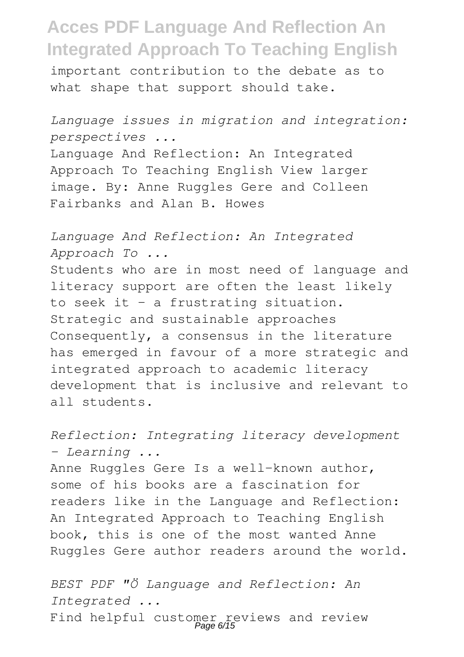important contribution to the debate as to what shape that support should take.

*Language issues in migration and integration: perspectives ...*

Language And Reflection: An Integrated Approach To Teaching English View larger image. By: Anne Ruggles Gere and Colleen Fairbanks and Alan B. Howes

*Language And Reflection: An Integrated Approach To ...* Students who are in most need of language and

literacy support are often the least likely to seek it – a frustrating situation. Strategic and sustainable approaches Consequently, a consensus in the literature has emerged in favour of a more strategic and integrated approach to academic literacy development that is inclusive and relevant to all students.

*Reflection: Integrating literacy development - Learning ...*

Anne Ruggles Gere Is a well-known author, some of his books are a fascination for readers like in the Language and Reflection: An Integrated Approach to Teaching English book, this is one of the most wanted Anne Ruggles Gere author readers around the world.

*BEST PDF "Ö Language and Reflection: An Integrated ...* Find helpful customer reviews and review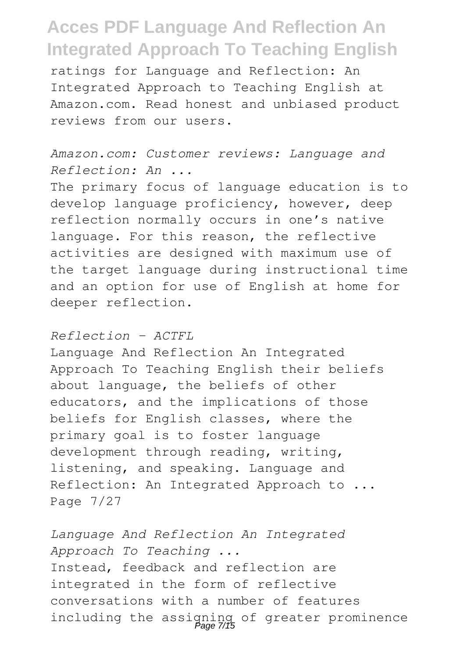ratings for Language and Reflection: An Integrated Approach to Teaching English at Amazon.com. Read honest and unbiased product reviews from our users.

*Amazon.com: Customer reviews: Language and Reflection: An ...*

The primary focus of language education is to develop language proficiency, however, deep reflection normally occurs in one's native language. For this reason, the reflective activities are designed with maximum use of the target language during instructional time and an option for use of English at home for deeper reflection.

#### *Reflection - ACTFL*

Language And Reflection An Integrated Approach To Teaching English their beliefs about language, the beliefs of other educators, and the implications of those beliefs for English classes, where the primary goal is to foster language development through reading, writing, listening, and speaking. Language and Reflection: An Integrated Approach to ... Page 7/27

*Language And Reflection An Integrated Approach To Teaching ...* Instead, feedback and reflection are integrated in the form of reflective conversations with a number of features including the assigning of greater prominence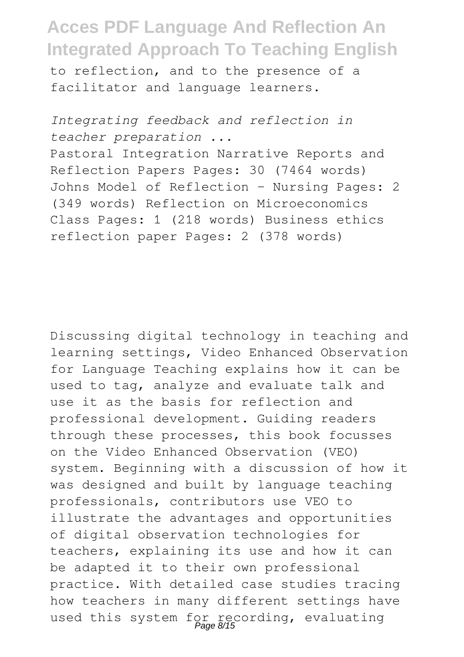to reflection, and to the presence of a facilitator and language learners.

*Integrating feedback and reflection in teacher preparation ...* Pastoral Integration Narrative Reports and Reflection Papers Pages: 30 (7464 words) Johns Model of Reflection - Nursing Pages: 2 (349 words) Reflection on Microeconomics Class Pages: 1 (218 words) Business ethics reflection paper Pages: 2 (378 words)

Discussing digital technology in teaching and learning settings, Video Enhanced Observation for Language Teaching explains how it can be used to tag, analyze and evaluate talk and use it as the basis for reflection and professional development. Guiding readers through these processes, this book focusses on the Video Enhanced Observation (VEO) system. Beginning with a discussion of how it was designed and built by language teaching professionals, contributors use VEO to illustrate the advantages and opportunities of digital observation technologies for teachers, explaining its use and how it can be adapted it to their own professional practice. With detailed case studies tracing how teachers in many different settings have used this system for recording, evaluating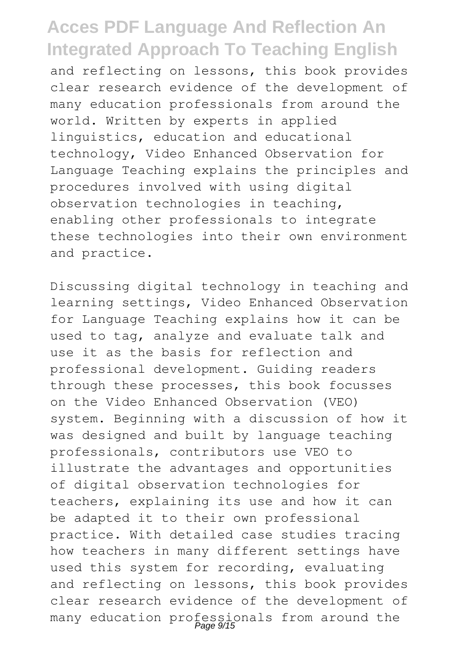and reflecting on lessons, this book provides clear research evidence of the development of many education professionals from around the world. Written by experts in applied linguistics, education and educational technology, Video Enhanced Observation for Language Teaching explains the principles and procedures involved with using digital observation technologies in teaching, enabling other professionals to integrate these technologies into their own environment and practice.

Discussing digital technology in teaching and learning settings, Video Enhanced Observation for Language Teaching explains how it can be used to tag, analyze and evaluate talk and use it as the basis for reflection and professional development. Guiding readers through these processes, this book focusses on the Video Enhanced Observation (VEO) system. Beginning with a discussion of how it was designed and built by language teaching professionals, contributors use VEO to illustrate the advantages and opportunities of digital observation technologies for teachers, explaining its use and how it can be adapted it to their own professional practice. With detailed case studies tracing how teachers in many different settings have used this system for recording, evaluating and reflecting on lessons, this book provides clear research evidence of the development of many education professionals from around the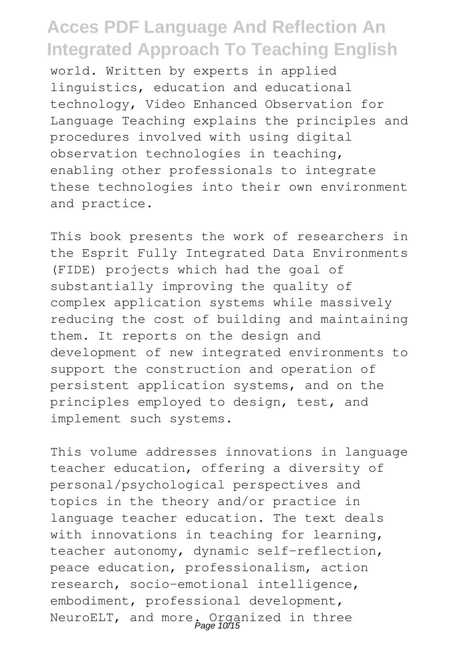world. Written by experts in applied linguistics, education and educational technology, Video Enhanced Observation for Language Teaching explains the principles and procedures involved with using digital observation technologies in teaching, enabling other professionals to integrate these technologies into their own environment and practice.

This book presents the work of researchers in the Esprit Fully Integrated Data Environments (FIDE) projects which had the goal of substantially improving the quality of complex application systems while massively reducing the cost of building and maintaining them. It reports on the design and development of new integrated environments to support the construction and operation of persistent application systems, and on the principles employed to design, test, and implement such systems.

This volume addresses innovations in language teacher education, offering a diversity of personal/psychological perspectives and topics in the theory and/or practice in language teacher education. The text deals with innovations in teaching for learning, teacher autonomy, dynamic self-reflection, peace education, professionalism, action research, socio-emotional intelligence, embodiment, professional development, NeuroELT, and more. Organized in three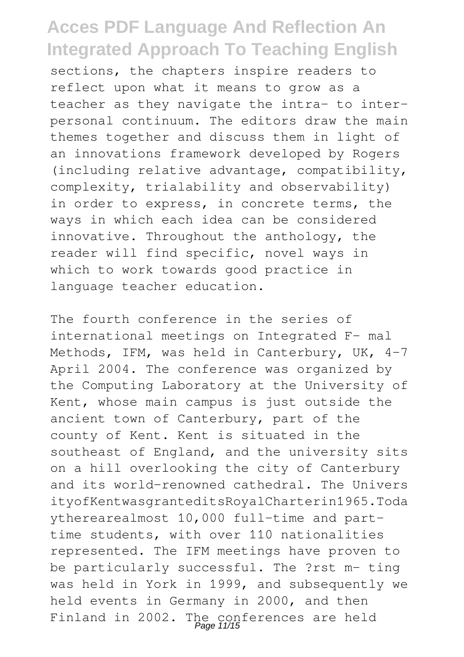sections, the chapters inspire readers to reflect upon what it means to grow as a teacher as they navigate the intra- to interpersonal continuum. The editors draw the main themes together and discuss them in light of an innovations framework developed by Rogers (including relative advantage, compatibility, complexity, trialability and observability) in order to express, in concrete terms, the ways in which each idea can be considered innovative. Throughout the anthology, the reader will find specific, novel ways in which to work towards good practice in language teacher education.

The fourth conference in the series of international meetings on Integrated F- mal Methods, IFM, was held in Canterbury, UK, 4–7 April 2004. The conference was organized by the Computing Laboratory at the University of Kent, whose main campus is just outside the ancient town of Canterbury, part of the county of Kent. Kent is situated in the southeast of England, and the university sits on a hill overlooking the city of Canterbury and its world-renowned cathedral. The Univers ityofKentwasgranteditsRoyalCharterin1965.Toda ytherearealmost 10,000 full-time and parttime students, with over 110 nationalities represented. The IFM meetings have proven to be particularly successful. The ?rst m- ting was held in York in 1999, and subsequently we held events in Germany in 2000, and then Finland in 2002. The conferences are held<br>Page 11/15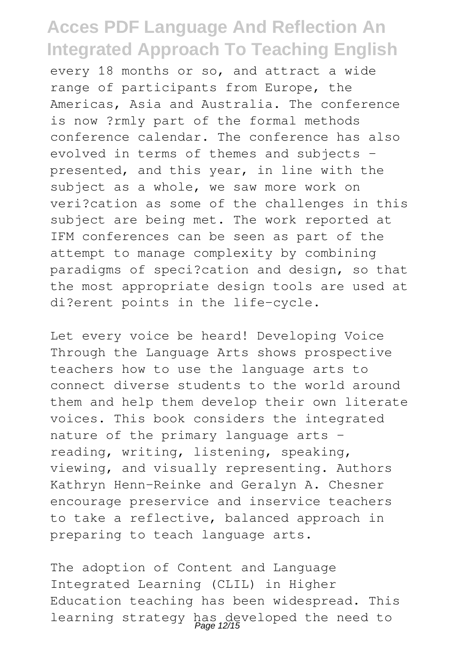every 18 months or so, and attract a wide range of participants from Europe, the Americas, Asia and Australia. The conference is now ?rmly part of the formal methods conference calendar. The conference has also evolved in terms of themes and subjects presented, and this year, in line with the subject as a whole, we saw more work on veri?cation as some of the challenges in this subject are being met. The work reported at IFM conferences can be seen as part of the attempt to manage complexity by combining paradigms of speci?cation and design, so that the most appropriate design tools are used at di?erent points in the life-cycle.

Let every voice be heard! Developing Voice Through the Language Arts shows prospective teachers how to use the language arts to connect diverse students to the world around them and help them develop their own literate voices. This book considers the integrated nature of the primary language arts reading, writing, listening, speaking, viewing, and visually representing. Authors Kathryn Henn-Reinke and Geralyn A. Chesner encourage preservice and inservice teachers to take a reflective, balanced approach in preparing to teach language arts.

The adoption of Content and Language Integrated Learning (CLIL) in Higher Education teaching has been widespread. This learning strategy has developed the need to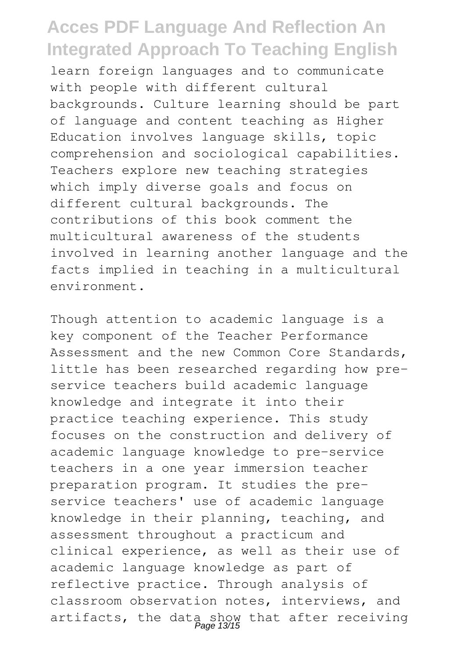learn foreign languages and to communicate with people with different cultural backgrounds. Culture learning should be part of language and content teaching as Higher Education involves language skills, topic comprehension and sociological capabilities. Teachers explore new teaching strategies which imply diverse goals and focus on different cultural backgrounds. The contributions of this book comment the multicultural awareness of the students involved in learning another language and the facts implied in teaching in a multicultural environment.

Though attention to academic language is a key component of the Teacher Performance Assessment and the new Common Core Standards, little has been researched regarding how preservice teachers build academic language knowledge and integrate it into their practice teaching experience. This study focuses on the construction and delivery of academic language knowledge to pre-service teachers in a one year immersion teacher preparation program. It studies the preservice teachers' use of academic language knowledge in their planning, teaching, and assessment throughout a practicum and clinical experience, as well as their use of academic language knowledge as part of reflective practice. Through analysis of classroom observation notes, interviews, and artifacts, the data show that after receiving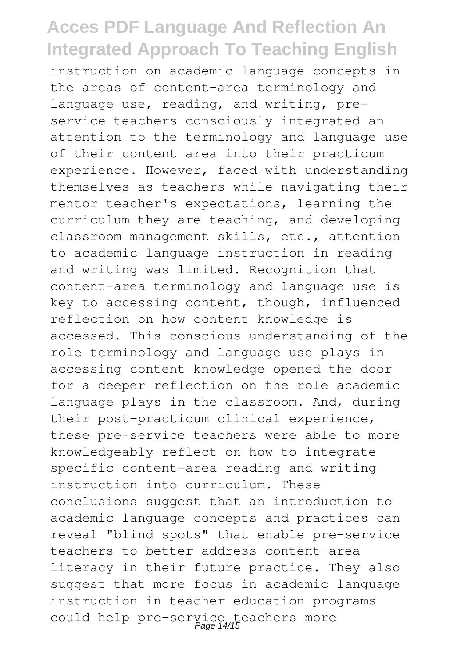instruction on academic language concepts in the areas of content-area terminology and language use, reading, and writing, preservice teachers consciously integrated an attention to the terminology and language use of their content area into their practicum experience. However, faced with understanding themselves as teachers while navigating their mentor teacher's expectations, learning the curriculum they are teaching, and developing classroom management skills, etc., attention to academic language instruction in reading and writing was limited. Recognition that content-area terminology and language use is key to accessing content, though, influenced reflection on how content knowledge is accessed. This conscious understanding of the role terminology and language use plays in accessing content knowledge opened the door for a deeper reflection on the role academic language plays in the classroom. And, during their post-practicum clinical experience, these pre-service teachers were able to more knowledgeably reflect on how to integrate specific content-area reading and writing instruction into curriculum. These conclusions suggest that an introduction to academic language concepts and practices can reveal "blind spots" that enable pre-service teachers to better address content-area literacy in their future practice. They also suggest that more focus in academic language instruction in teacher education programs could help pre-service teachers more Page 14/15